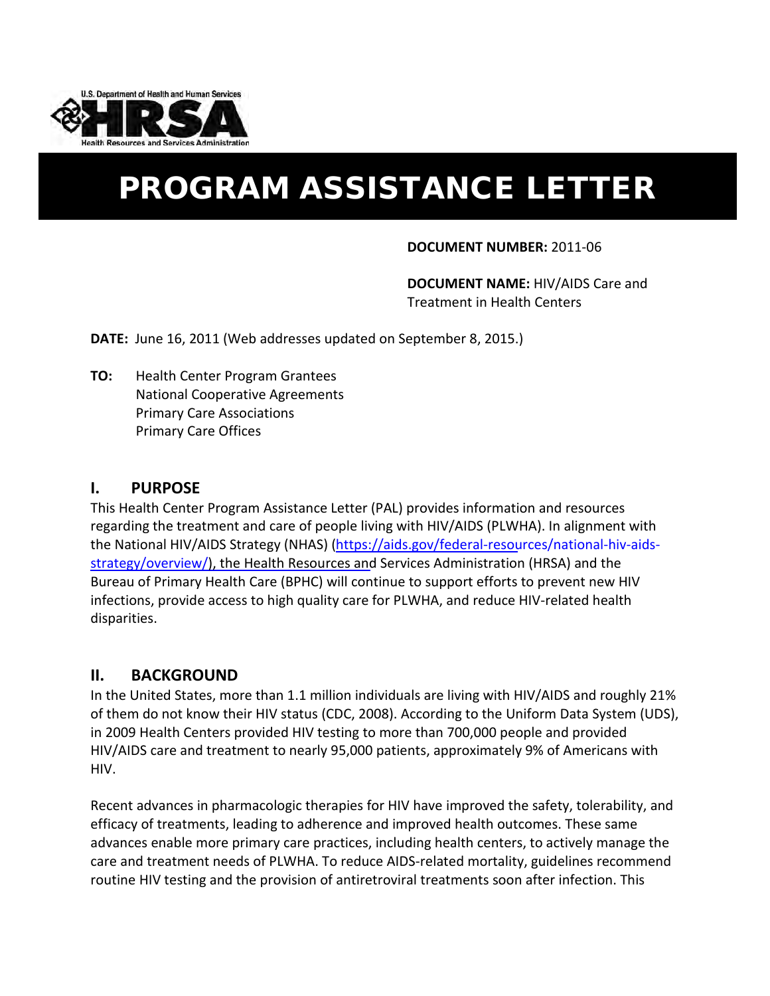

# PROGRAM ASSISTANCE LETTER

#### **DOCUMENT NUMBER:** 2011-06

**DOCUMENT NAME:** HIV/AIDS Care and Treatment in Health Centers

**DATE:** June 16, 2011 (Web addresses updated on September 8, 2015.)

**TO:** Health Center Program Grantees National Cooperative Agreements Primary Care Associations Primary Care Offices

## **I. PURPOSE**

This Health Center Program Assistance Letter (PAL) provides information and resources regarding the treatment and care of people living with HIV/AIDS (PLWHA). In alignment with the National HIV/AIDS Strategy (NHAS) (https://aids.gov/federal-[resources/national-hiv-aids](https://aids.gov/federal-resources/national-hiv-aids-strategy/overview/)strategy[/overview](https://aids.gov/federal-resources/national-hiv-aids-strategy/overview/)/), the Health Resources and Services Administration (HRSA) and the Bureau of Primary Health Care (BPHC) will continue to support efforts to prevent new HIV infections, provide access to high quality care for PLWHA, and reduce HIV-related health disparities.

# **II. BACKGROUND**

In the United States, more than 1.1 million individuals are living with HIV/AIDS and roughly 21% of them do not know their HIV status (CDC, 2008). According to the Uniform Data System (UDS), in 2009 Health Centers provided HIV testing to more than 700,000 people and provided HIV/AIDS care and treatment to nearly 95,000 patients, approximately 9% of Americans with HIV.

Recent advances in pharmacologic therapies for HIV have improved the safety, tolerability, and efficacy of treatments, leading to adherence and improved health outcomes. These same advances enable more primary care practices, including health centers, to actively manage the care and treatment needs of PLWHA. To reduce AIDS-related mortality, guidelines recommend routine HIV testing and the provision of antiretroviral treatments soon after infection. This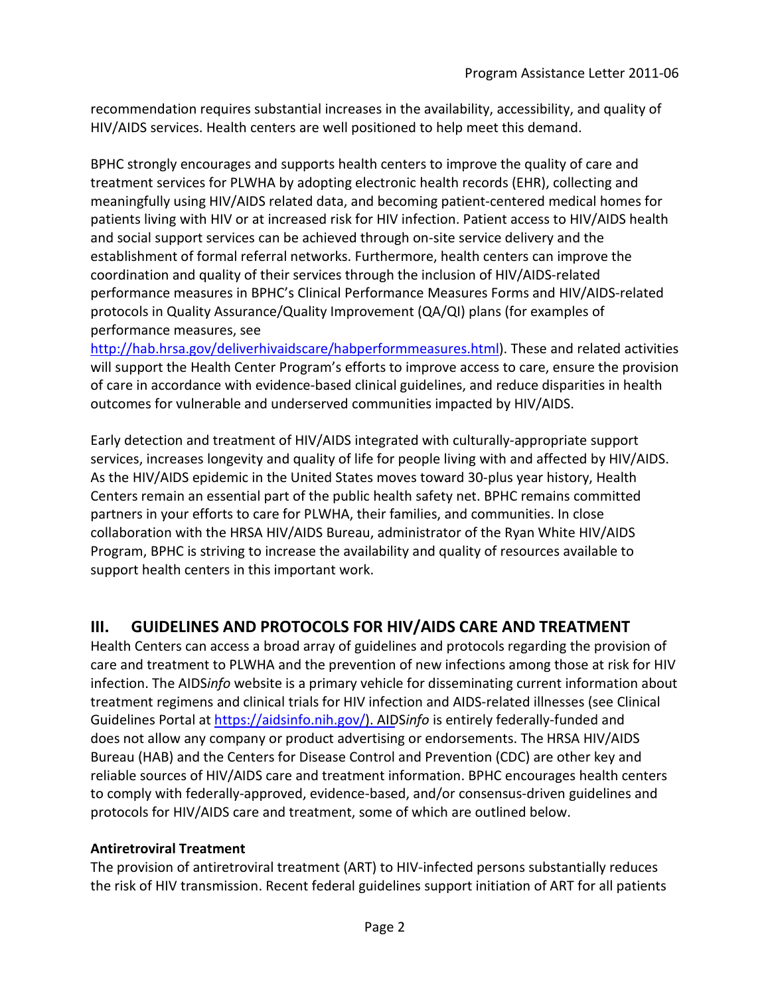recommendation requires substantial increases in the availability, accessibility, and quality of HIV/AIDS services. Health centers are well positioned to help meet this demand.

BPHC strongly encourages and supports health centers to improve the quality of care and treatment services for PLWHA by adopting electronic health records (EHR), collecting and meaningfully using HIV/AIDS related data, and becoming patient-centered medical homes for patients living with HIV or at increased risk for HIV infection. Patient access to HIV/AIDS health and social support services can be achieved through on-site service delivery and the establishment of formal referral networks. Furthermore, health centers can improve the coordination and quality of their services through the inclusion of HIV/AIDS-related performance measures in BPHC's Clinical Performance Measures Forms and HIV/AIDS-related protocols in Quality Assurance/Quality Improvement (QA/QI) plans (for examples of performance measures, see

[http://hab.hrsa.gov/deliverhivaidscare/habperformmeasures.html\)](http://hab.hrsa.gov/deliverhivaidscare/habperformmeasures.html). These and related activities will support the Health Center Program's efforts to improve access to care, ensure the provision of care in accordance with evidence-based clinical guidelines, and reduce disparities in health outcomes for vulnerable and underserved communities impacted by HIV/AIDS.

Early detection and treatment of HIV/AIDS integrated with culturally-appropriate support services, increases longevity and quality of life for people living with and affected by HIV/AIDS. As the HIV/AIDS epidemic in the United States moves toward 30-plus year history, Health Centers remain an essential part of the public health safety net. BPHC remains committed partners in your efforts to care for PLWHA, their families, and communities. In close collaboration with the HRSA HIV/AIDS Bureau, administrator of the Ryan White HIV/AIDS Program, BPHC is striving to increase the availability and quality of resources available to support health centers in this important work.

# **III. GUIDELINES AND PROTOCOLS FOR HIV/AIDS CARE AND TREATMENT**

Health Centers can access a broad array of guidelines and protocols regarding the provision of care and treatment to PLWHA and the prevention of new infections among those at risk for HIV infection. The AIDS*info* website is a primary vehicle for disseminating current information about treatment regimens and clinical trials for HIV infection and AIDS-related illnesses (see Clinical Guidelines Portal at https[://aidsinfo.nih.gov/\)](https://aidsinfo.nih.gov/). AIDS*info* is entirely federally-funded and does not allow any company or product advertising or endorsements. The HRSA HIV/AIDS Bureau (HAB) and the Centers for Disease Control and Prevention (CDC) are other key and reliable sources of HIV/AIDS care and treatment information. BPHC encourages health centers to comply with federally-approved, evidence-based, and/or consensus-driven guidelines and protocols for HIV/AIDS care and treatment, some of which are outlined below.

## **Antiretroviral Treatment**

The provision of antiretroviral treatment (ART) to HIV-infected persons substantially reduces the risk of HIV transmission. Recent federal guidelines support initiation of ART for all patients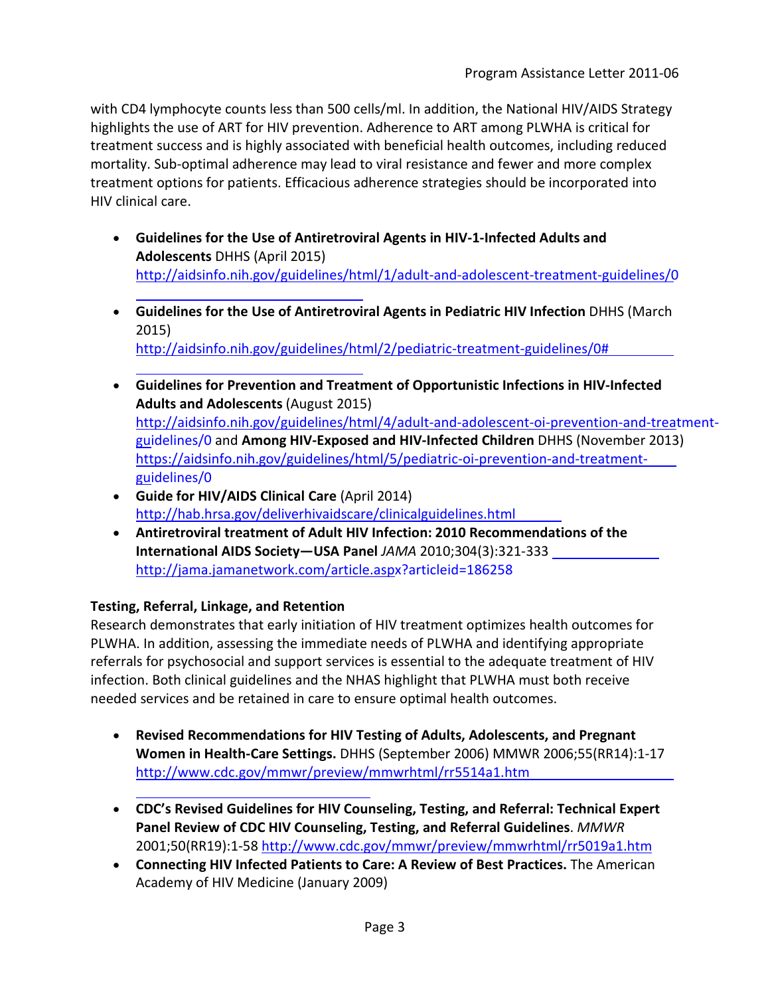with CD4 lymphocyte counts less than 500 cells/ml. In addition, the National HIV/AIDS Strategy highlights the use of ART for HIV prevention. Adherence to ART among PLWHA is critical for treatment success and is highly associated with beneficial health outcomes, including reduced mortality. Sub-optimal adherence may lead to viral resistance and fewer and more complex treatment options for patients. Efficacious adherence strategies should be incorporated into HIV clinical care.

- **Guidelines for the Use of Antiretroviral Agents in HIV-1-Infected Adults and Adolescents** DHHS (April 2015) http://aidsinfo.nih.gov/guidelines/[html/1/adult-and-adolescent-treatment-guidelines/0](http://aidsinfo.nih.gov/guidelines/html/1/adult-and-adolescent-treatment-guidelines/0)
- **Guidelines for the Use of Antiretroviral Agents in Pediatric HIV Infection** DHHS (March 2015) http://aidsinfo.nih.gov/guidelines/[html/2/pediatric-treatment-guidelines/0#](http://aidsinfo.nih.gov/guidelines/html/2/pediatric-treatment-guidelines/0#) ı
- **Guidelines for Prevention and Treatment of Opportunistic Infections in HIV-Infected Adults and Adolescents** (August 2015) http://aidsinfo.nih.gov/guidelines/[html/4/adult-and-adolescent-oi-prevention-and-treatment](http://aidsinfo.nih.gov/guidelines/html/4/adult-and-adolescent-oi-prevention-and-treatment-guidelines/0)[guidelines/0](http://aidsinfo.nih.gov/guidelines/html/4/adult-and-adolescent-oi-prevention-and-treatment-guidelines/0) and **Among HIV-Exposed and HIV-Infected Children** DHHS (November 2013) https://aidsinfo.nih.gov/guidelines/[html/5/pediatric-oi-prevention-and-treatment](https://aidsinfo.nih.gov/guidelines/html/5/pediatric-oi-prevention-and-treatment-guidelines/0)[guidelines/0](https://aidsinfo.nih.gov/guidelines/html/5/pediatric-oi-prevention-and-treatment-guidelines/0)
- **Guide for HIV/AIDS Clinical Care** (April 2014) [http://hab.hrsa.gov/deliverhivaidscare/](http://hab.hrsa.gov/deliverhivaidscare/clinicalguidelines.html)clinicalguidelines.html
- **Antiretroviral treatment of Adult HIV Infection: 2010 Recommendations of the International AIDS Society—USA Panel** *JAMA* 2010;304(3):321-333 <http://jama.jamanetwork.com/article.aspx?articleid=186258>

## **Testing, Referral, Linkage, and Retention**

L

L

Research demonstrates that early initiation of HIV treatment optimizes health outcomes for PLWHA. In addition, assessing the immediate needs of PLWHA and identifying appropriate referrals for psychosocial and support services is essential to the adequate treatment of HIV infection. Both clinical guidelines and the NHAS highlight that PLWHA must both receive needed services and be retained in care to ensure optimal health outcomes.

- **Revised Recommendations for HIV Testing of Adults, Adolescents, and Pregnant Women in Health-Care Settings.** DHHS (September 2006) MMWR 2006;55(RR14):1-17 http://[www.cdc.gov/mmwr/preview/mmwrhtml/rr5514a1.htm](http://www.cdc.gov/mmwr/preview/mmwrhtml/rr5514a1.htm)
- **CDC's Revised Guidelines for HIV Counseling, Testing, and Referral: Technical Expert Panel Review of CDC HIV Counseling, Testing, and Referral Guidelines**. *MMWR*  2001;50(RR19):1-58<http://www.cdc.gov/mmwr/preview/mmwrhtml/rr5019a1.htm>
- **Connecting HIV Infected Patients to Care: A Review of Best Practices.** The American Academy of HIV Medicine (January 2009)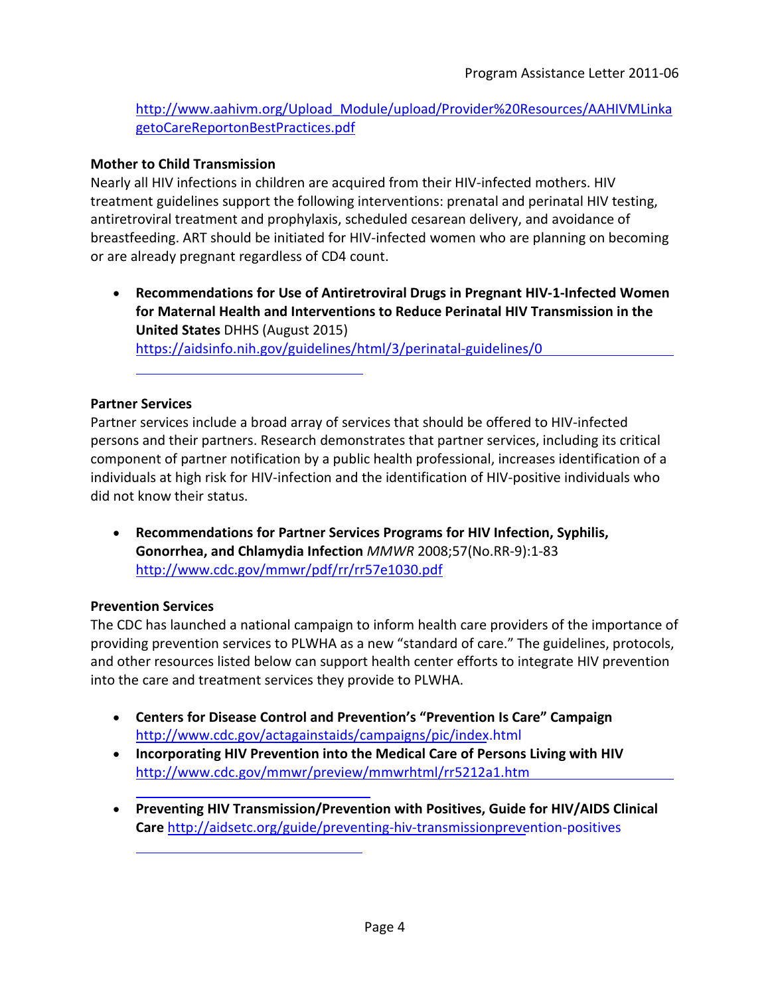[http://www.aahivm.org/Upload\\_Module/upload/Provider%20Resources/AAHIVMLinka](http://www.aahivm.org/Upload_Module/upload/Provider%20Resources/AAHIVMLinkagetoCareReportonBestPractices.pdf) [getoCareReportonBestPractices.pdf](http://www.aahivm.org/Upload_Module/upload/Provider%20Resources/AAHIVMLinkagetoCareReportonBestPractices.pdf)

## **Mother to Child Transmission**

Nearly all HIV infections in children are acquired from their HIV-infected mothers. HIV treatment guidelines support the following interventions: prenatal and perinatal HIV testing, antiretroviral treatment and prophylaxis, scheduled cesarean delivery, and avoidance of breastfeeding. ART should be initiated for HIV-infected women who are planning on becoming or are already pregnant regardless of CD4 count.

• **Recommendations for Use of Antiretroviral Drugs in Pregnant HIV-1-Infected Women for Maternal Health and Interventions to Reduce Perinatal HIV Transmission in the United States** DHHS (August 2015) <https://aidsinfo.nih.gov/guidelines/html/3/perinatal-guidelines/0>

#### **Partner Services**

ı

Partner services include a broad array of services that should be offered to HIV-infected persons and their partners. Research demonstrates that partner services, including its critical component of partner notification by a public health professional, increases identification of a individuals at high risk for HIV-infection and the identification of HIV-positive individuals who did not know their status.

• **Recommendations for Partner Services Programs for HIV Infection, Syphilis, Gonorrhea, and Chlamydia Infection** *MMWR* 2008;57(No.RR-9):1-83 <http://www.cdc.gov/mmwr/pdf/rr/rr57e1030.pdf>

#### **Prevention Services**

L

The CDC has launched a national campaign to inform health care providers of the importance of providing prevention services to PLWHA as a new "standard of care." The guidelines, protocols, and other resources listed below can support health center efforts to integrate HIV prevention into the care and treatment services they provide to PLWHA.

- **Centers for Disease Control and Prevention's "Prevention Is Care" Campaign** http://www.cdc.gov/[actagainstaids/campaigns/pic/index.html](http://www.cdc.gov/actagainstaids/campaigns/pic/index.html)
- **Incorporating HIV Prevention into the Medical Care of Persons Living with HIV**  http://[www.cdc.gov/mmwr/preview/mmwrhtml/rr5212a1.htm](http://www.cdc.gov/mmwr/preview/mmwrhtml/rr5212a1.htm)
- **Preventing HIV Transmission/Prevention with Positives, Guide for HIV/AIDS Clinical Care** <http://aidsetc.org/guide/preventing-hiv-transmissionprevention-positives>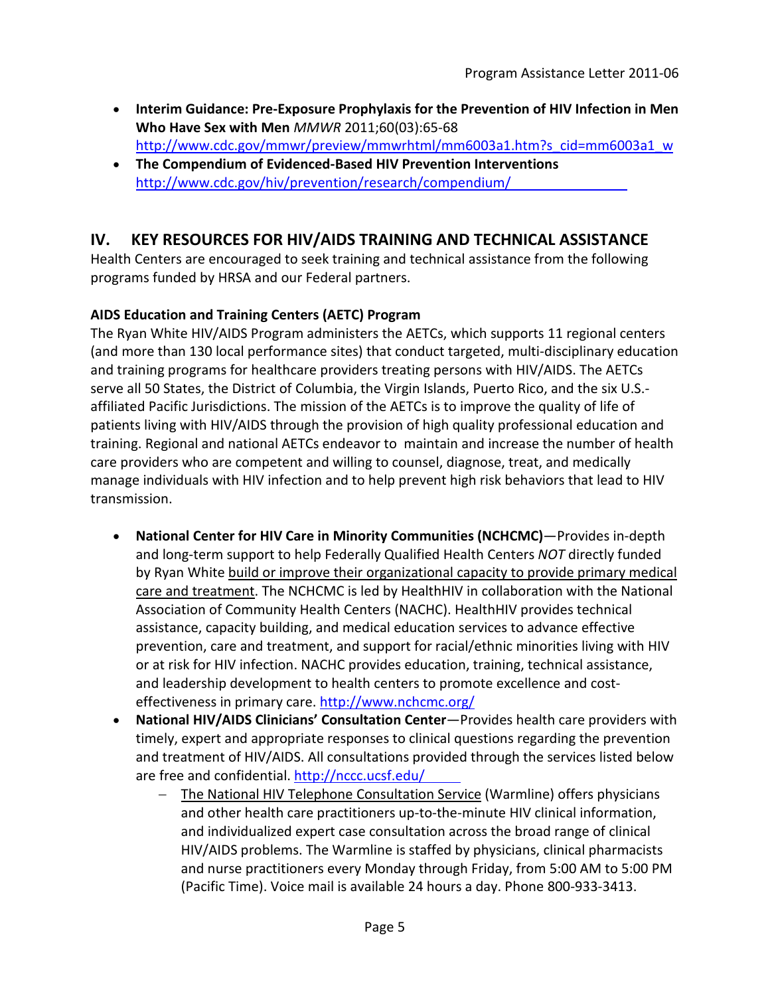- **Interim Guidance: Pre-Exposure Prophylaxis for the Prevention of HIV Infection in Men Who Have Sex with Men** *MMWR* 2011;60(03):65-68 [http://www.cdc.gov/mmwr/preview/mmwrhtml/mm6003a1.htm?s\\_cid=mm6003a1\\_w](http://www.cdc.gov/mmwr/preview/mmwrhtml/mm6003a1.htm?s_cid=mm6003a1_w)
- **The Compendium of Evidenced-Based HIV Prevention Interventions** http://www.cdc.gov/hiv/[prevention/research/compendium/](http://www.cdc.gov/hiv/prevention/research/compendium/)

# **IV. KEY RESOURCES FOR HIV/AIDS TRAINING AND TECHNICAL ASSISTANCE**

Health Centers are encouraged to seek training and technical assistance from the following programs funded by HRSA and our Federal partners.

# **AIDS Education and Training Centers (AETC) Program**

The Ryan White HIV/AIDS Program administers the AETCs, which supports 11 regional centers (and more than 130 local performance sites) that conduct targeted, multi-disciplinary education and training programs for healthcare providers treating persons with HIV/AIDS. The AETCs serve all 50 States, the District of Columbia, the Virgin Islands, Puerto Rico, and the six U.S. affiliated Pacific Jurisdictions. The mission of the AETCs is to improve the quality of life of patients living with HIV/AIDS through the provision of high quality professional education and training. Regional and national AETCs endeavor to maintain and increase the number of health care providers who are competent and willing to counsel, diagnose, treat, and medically manage individuals with HIV infection and to help prevent high risk behaviors that lead to HIV transmission.

- **National Center for HIV Care in Minority Communities (NCHCMC)**—Provides in-depth and long-term support to help Federally Qualified Health Centers *NOT* directly funded by Ryan White build or improve their organizational capacity to provide primary medical care and treatment. The NCHCMC is led by HealthHIV in collaboration with the National Association of Community Health Centers (NACHC). HealthHIV provides technical assistance, capacity building, and medical education services to advance effective prevention, care and treatment, and support for racial/ethnic minorities living with HIV or at risk for HIV infection. NACHC provides education, training, technical assistance, and leadership development to health centers to promote excellence and costeffectiveness in primary care. http://www.nchcmc.org/
- **National HIV/AIDS Clinicians' Consultation Center**—Provides health care providers with timely, expert and appropriate responses to clinical questions regarding the prevention and treatment of HIV/AIDS. All consultations provided through the services listed below are free and confidential.<http://nccc.ucsf.edu/>
	- The National HIV Telephone Consultation Service (Warmline) offers physicians and other health care practitioners up-to-the-minute HIV clinical information, and individualized expert case consultation across the broad range of clinical HIV/AIDS problems. The Warmline is staffed by physicians, clinical pharmacists and nurse practitioners every Monday through Friday, from 5:00 AM to 5:00 PM (Pacific Time). Voice mail is available 24 hours a day. Phone 800-933-3413.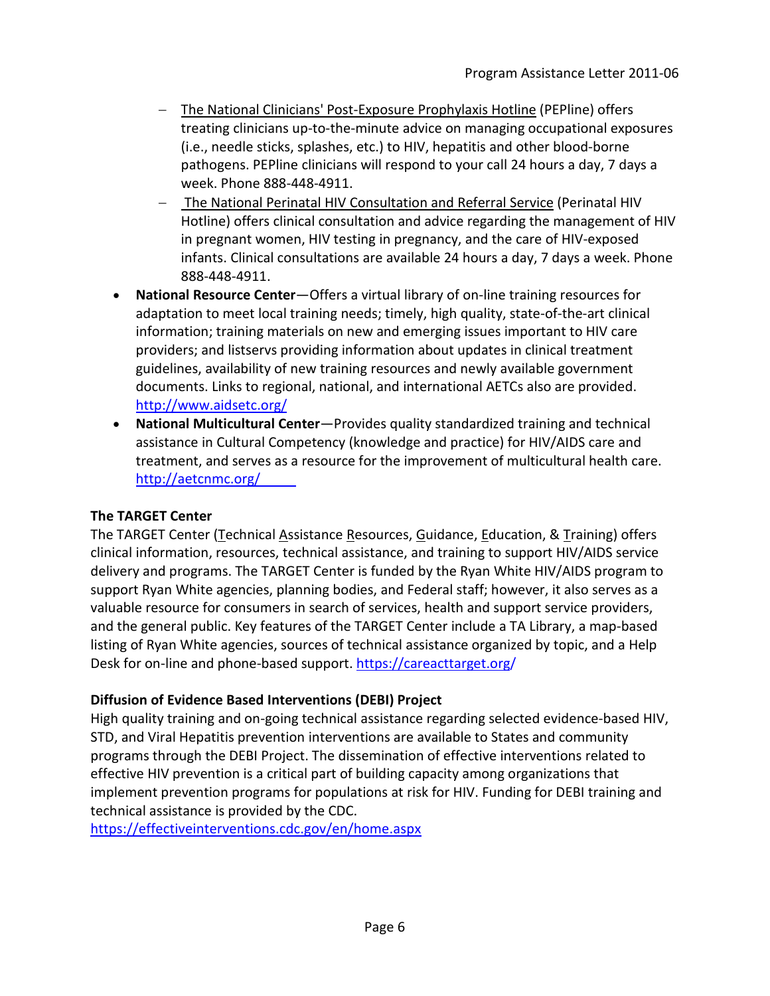- − The National Clinicians' Post-Exposure Prophylaxis Hotline (PEPline) offers treating clinicians up-to-the-minute advice on managing occupational exposures (i.e., needle sticks, splashes, etc.) to HIV, hepatitis and other blood-borne pathogens. PEPline clinicians will respond to your call 24 hours a day, 7 days a week. Phone 888-448-4911.
- − The National Perinatal HIV Consultation and Referral Service (Perinatal HIV Hotline) offers clinical consultation and advice regarding the management of HIV in pregnant women, HIV testing in pregnancy, and the care of HIV-exposed infants. Clinical consultations are available 24 hours a day, 7 days a week. Phone 888-448-4911.
- **National Resource Center**—Offers a virtual library of on-line training resources for adaptation to meet local training needs; timely, high quality, state-of-the-art clinical information; training materials on new and emerging issues important to HIV care providers; and listservs providing information about updates in clinical treatment guidelines, availability of new training resources and newly available government documents. Links to regional, national, and international AETCs also are provided. <http://www.aidsetc.org/>
- **National Multicultural Center**—Provides quality standardized training and technical assistance in Cultural Competency (knowledge and practice) for HIV/AIDS care and treatment, and serves as a resource for the improvement of multicultural health care. <http://aetcnmc.org/>

## **The TARGET Center**

The TARGET Center (Technical Assistance Resources, Guidance, Education, & Training) offers clinical information, resources, technical assistance, and training to support HIV/AIDS service delivery and programs. The TARGET Center is funded by the Ryan White HIV/AIDS program to support Ryan White agencies, planning bodies, and Federal staff; however, it also serves as a valuable resource for consumers in search of services, health and support service providers, and the general public. Key features of the TARGET Center include a TA Library, a map-based listing of Ryan White agencies, sources of technical assistance organized by topic, and a Help Desk for on-line and phone-based support. https[://careacttarget.org/](https://careacttarget.org/) 

## **Diffusion of Evidence Based Interventions (DEBI) Project**

High quality training and on-going technical assistance regarding selected evidence-based HIV, STD, and Viral Hepatitis prevention interventions are available to States and community programs through the DEBI Project. The dissemination of effective interventions related to effective HIV prevention is a critical part of building capacity among organizations that implement prevention programs for populations at risk for HIV. Funding for DEBI training and technical assistance is provided by the CDC.

<https://effectiveinterventions.cdc.gov/en/home.aspx>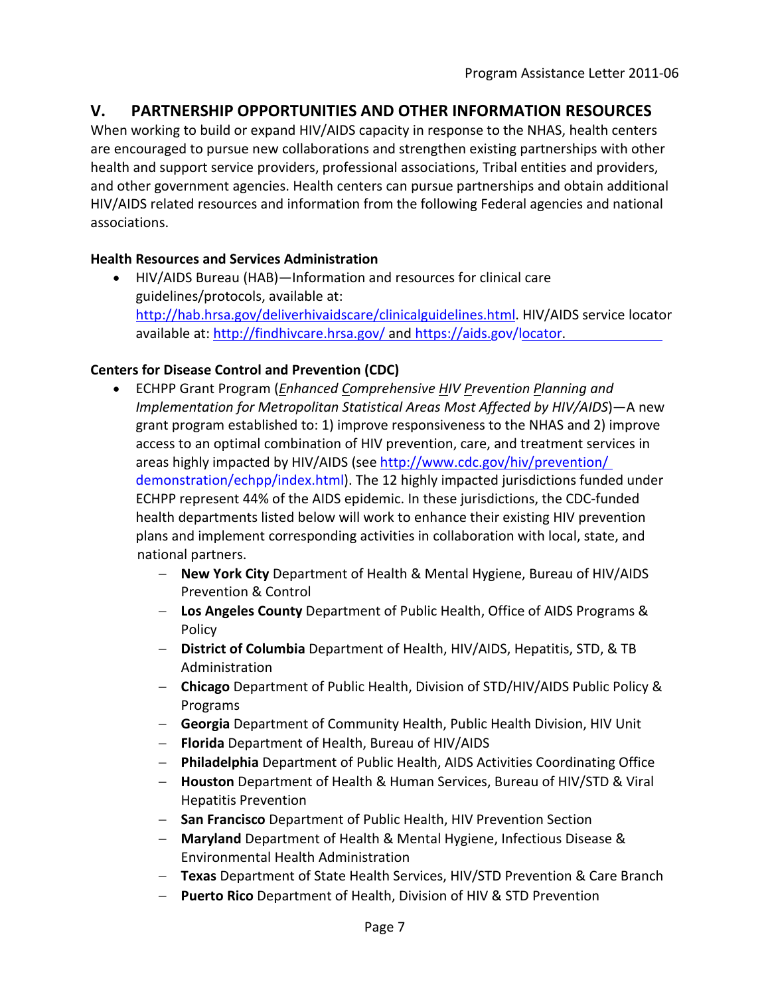# **V. PARTNERSHIP OPPORTUNITIES AND OTHER INFORMATION RESOURCES**

When working to build or expand HIV/AIDS capacity in response to the NHAS, health centers are encouraged to pursue new collaborations and strengthen existing partnerships with other health and support service providers, professional associations, Tribal entities and providers, and other government agencies. Health centers can pursue partnerships and obtain additional HIV/AIDS related resources and information from the following Federal agencies and national associations.

## **Health Resources and Services Administration**

• HIV/AIDS Bureau (HAB)—Information and resources for clinical care guidelines/protocols, available at: [http://hab.hrsa.gov/deliverhivaidscare/clinicalguidelines.html.](http://hab.hrsa.gov/deliverhivaidscare/clinicalguidelines.html) HIV/AIDS service locator available at[: http://findhivcare.hrsa.gov/](http://findhivcare.hrsa.gov/) and https[://aids.gov/locator.](https://aids.gov/locator)

## **Centers for Disease Control and Prevention (CDC)**

- ECHPP Grant Program (*Enhanced Comprehensive HIV Prevention Planning and Implementation for Metropolitan Statistical Areas Most Affected by HIV/AIDS*)—A new grant program established to: 1) improve responsiveness to the NHAS and 2) improve access to an optimal combination of HIV prevention, care, and treatment services in areas highly impacted by HIV/AIDS (see [http://www.cdc.gov/hiv/](http://www.cdc.gov/hiv/prevention/demonstration/echpp/index.html)prevention/ [demonstration/echpp/index.html](http://www.cdc.gov/hiv/prevention/demonstration/echpp/index.html)). The 12 highly impacted jurisdictions funded under ECHPP represent 44% of the AIDS epidemic. In these jurisdictions, the CDC-funded health departments listed below will work to enhance their existing HIV prevention plans and implement corresponding activities in collaboration with local, state, and national partners.
	- − **New York City** Department of Health & Mental Hygiene, Bureau of HIV/AIDS Prevention & Control
	- − **Los Angeles County** Department of Public Health, Office of AIDS Programs & Policy
	- − **District of Columbia** Department of Health, HIV/AIDS, Hepatitis, STD, & TB Administration
	- − **Chicago** Department of Public Health, Division of STD/HIV/AIDS Public Policy & Programs
	- − **Georgia** Department of Community Health, Public Health Division, HIV Unit
	- − **Florida** Department of Health, Bureau of HIV/AIDS
	- − **Philadelphia** Department of Public Health, AIDS Activities Coordinating Office
	- − **Houston** Department of Health & Human Services, Bureau of HIV/STD & Viral Hepatitis Prevention
	- − **San Francisco** Department of Public Health, HIV Prevention Section
	- − **Maryland** Department of Health & Mental Hygiene, Infectious Disease & Environmental Health Administration
	- − **Texas** Department of State Health Services, HIV/STD Prevention & Care Branch
	- − **Puerto Rico** Department of Health, Division of HIV & STD Prevention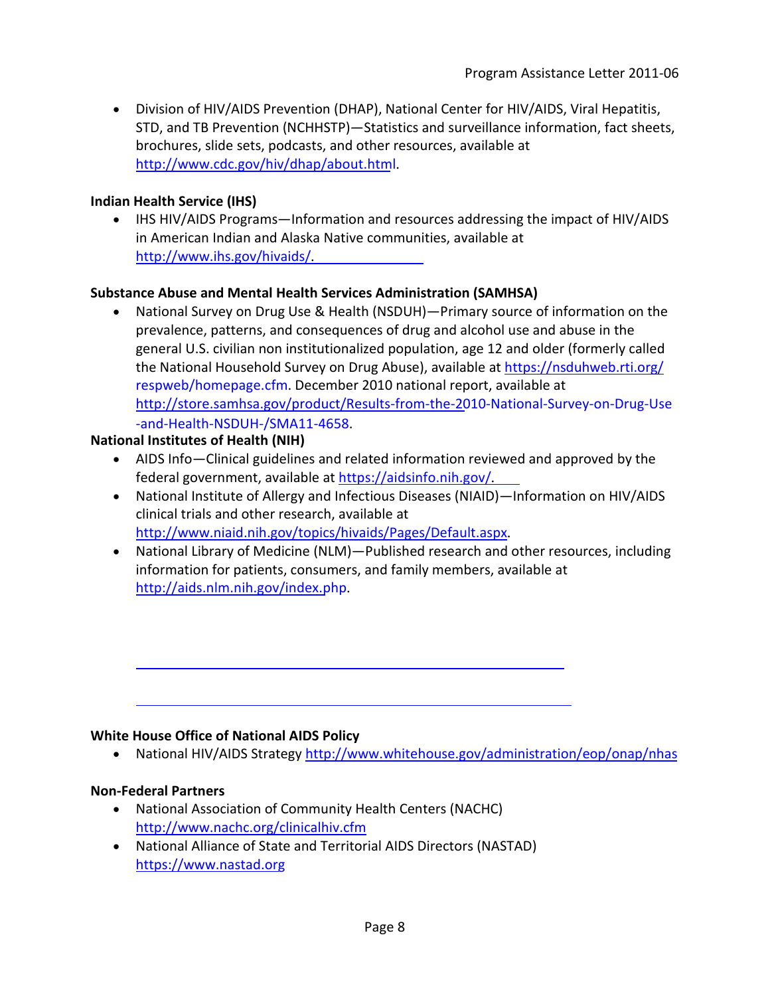• Division of HIV/AIDS Prevention (DHAP), National Center for HIV/AIDS, Viral Hepatitis, STD, and TB Prevention (NCHHSTP)—Statistics and surveillance information, fact sheets, brochures, slide sets, podcasts, and other resources, available at [http://www.cdc.gov/hiv/](http://www.cdc.gov/hiv/dhap/about.html)dhap/about.html.

#### **Indian Health Service (IHS)**

• IHS HIV/AIDS Programs—Information and resources addressing the impact of HIV/AIDS in American Indian and Alaska Native communities, available at <http://www.ihs.gov/hivaids/>.

#### **Substance Abuse and Mental Health Services Administration (SAMHSA)**

• National Survey on Drug Use & Health (NSDUH)—Primary source of information on the prevalence, patterns, and consequences of drug and alcohol use and abuse in the general U.S. civilian non institutionalized population, age 12 and older (formerly called the National Household Survey on Drug Abuse), available at [https://nsduhweb.rti.org/](https://nsduhweb.rti.org/respweb/homepage.cfm) [respweb/homepage.cfm](https://nsduhweb.rti.org/respweb/homepage.cfm). December 2010 national report, available at [http://store.samhsa.gov/product/Results-from-the-2010-National-Survey-on-Drug-Use](http://store.samhsa.gov/product/Results-from-the-2010-National-Survey-on-Drug-Use-and-Health-NSDUH-/SMA11-4658) [-and-Health-NSDUH-/SMA11-4658](http://store.samhsa.gov/product/Results-from-the-2010-National-Survey-on-Drug-Use-and-Health-NSDUH-/SMA11-4658).

#### **National Institutes of Health (NIH)**

- AIDS Info—Clinical guidelines and related information reviewed and approved by the federal government, available at <https://aidsinfo.nih.gov/>.
- National Institute of Allergy and Infectious Diseases (NIAID)—Information on HIV/AIDS clinical trials and other research, available at <http://www.niaid.nih.gov/topics/hivaids/Pages/Default.aspx>.
- National Library of Medicine (NLM)—Published research and other resources, including information for patients, consumers, and family members, available at http://[aids.nlm.nih.gov/index.php](http://aids.nlm.nih.gov/index.php).

#### **White House Office of National AIDS Policy**

• National HIV/AIDS Strategy<http://www.whitehouse.gov/administration/eop/onap/nhas>

#### **Non-Federal Partners**

- National Association of Community Health Centers (NACHC) <http://www.nachc.org/clinicalhiv.cfm>
- National Alliance of State and Territorial AIDS Directors (NASTAD) https[://www.nastad.org](https://www.nastad.org/)